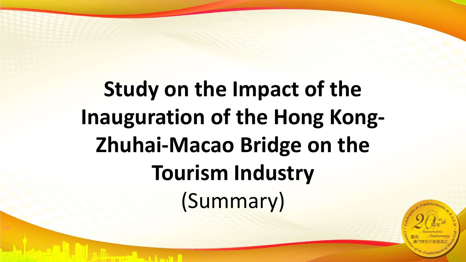# **Study on the Impact of the Inauguration of the Hong Kong-Zhuhai-Macao Bridge on the Tourism Industry** (Summary)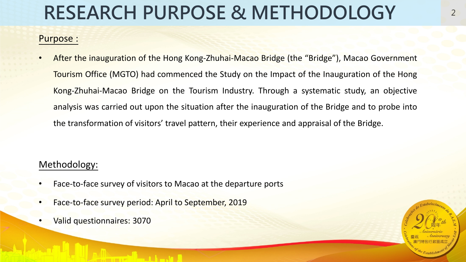# **RESEARCH PURPOSE & METHODOLOGY**

#### Purpose :

• After the inauguration of the Hong Kong-Zhuhai-Macao Bridge (the "Bridge"), Macao Government Tourism Office (MGTO) had commenced the Study on the Impact of the Inauguration of the Hong Kong-Zhuhai-Macao Bridge on the Tourism Industry. Through a systematic study, an objective analysis was carried out upon the situation after the inauguration of the Bridge and to probe into the transformation of visitors' travel pattern, their experience and appraisal of the Bridge.

#### Methodology:

- Face-to-face survey of visitors to Macao at the departure ports
- Face-to-face survey period: April to September, 2019
- Valid questionnaires: 3070

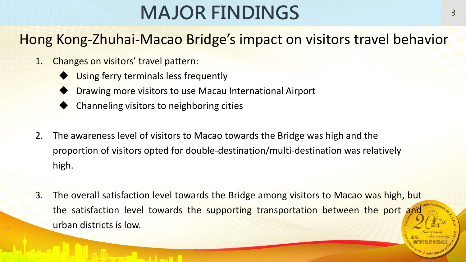# **MAJOR FINDINGS**

### Hong Kong-Zhuhai-Macao Bridge's impact on visitors travel behavior

- 1. Changes on visitors' travel pattern:
	- Using ferry terminals less frequently
	- Drawing more visitors to use Macau International Airport
	- Channeling visitors to neighboring cities
- 2. The awareness level of visitors to Macao towards the Bridge was high and the proportion of visitors opted for double-destination/multi-destination was relatively high.
- 3. The overall satisfaction level towards the Bridge among visitors to Macao was high, but the satisfaction level towards the supporting transportation between the port and urban districts is low.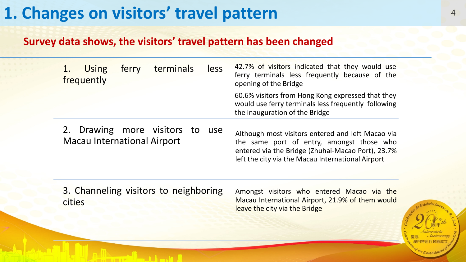### **1. Changes on visitors' travel pattern** <sup>4</sup>

#### **Survey data shows, the visitors' travel pattern has been changed**

| terminals<br><b>Using</b><br>ferry<br>frequently                  | less | 42.7% of visitors indicated that they would use<br>ferry terminals less frequently because of the<br>opening of the Bridge                                                                               |
|-------------------------------------------------------------------|------|----------------------------------------------------------------------------------------------------------------------------------------------------------------------------------------------------------|
|                                                                   |      | 60.6% visitors from Hong Kong expressed that they<br>would use ferry terminals less frequently following<br>the inauguration of the Bridge                                                               |
| 2. Drawing more visitors to<br><b>Macau International Airport</b> | use  | Although most visitors entered and left Macao via<br>the same port of entry, amongst those who<br>entered via the Bridge (Zhuhai-Macao Port), 23.7%<br>left the city via the Macau International Airport |

3. Channeling visitors to neighboring cities

Amongst visitors who entered Macao via the Macau International Airport, 21.9% of them would leave the city via the Bridge

Establish<sup>11</sup>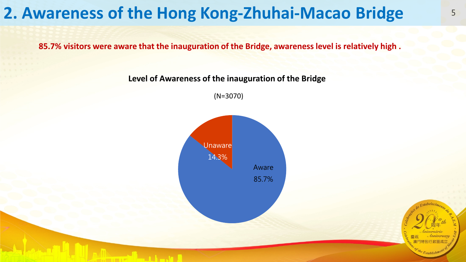### **2. Awareness of the Hong Kong-Zhuhai-Macao Bridge**

**85.7% visitors were aware that the inauguration of the Bridge, awarenesslevel is relatively high .**

**Level of Awareness of the inauguration of the Bridge** 

(N=3070)

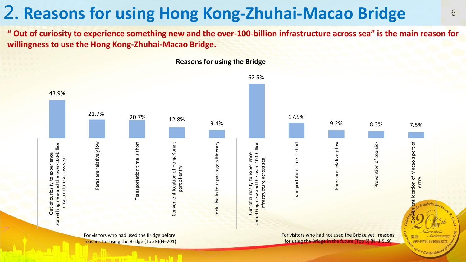## **2. Reasons for using Hong Kong-Zhuhai-Macao Bridge** <sup>6</sup>

" Out of curiosity to experience something new and the over-100-billion infrastructure across sea" is the main reason for **willingness to use the Hong Kong-Zhuhai-Macao Bridge.**



**Reasons for using the Bridge**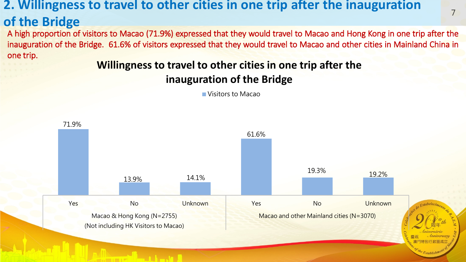# **2. Willingness to travel to other cities in one trip after the inauguration**

### **of the Bridge**

A high proportion of visitors to Macao (71.9%) expressed that they would travel to Macao and Hong Kong in one trip after the inauguration of the Bridge. 61.6% of visitors expressed that they would travel to Macao and other cities in Mainland China in one trip.

7

### **Willingness to travel to other cities in one trip after the inauguration of the Bridge**

Visitors to Macao

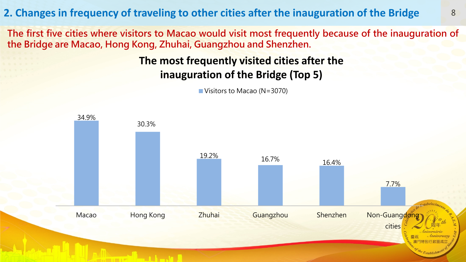**2. Changes in frequency of traveling to other cities after the inauguration of the Bridge** <sup>8</sup>

**The first five cities where visitors to Macao would visit most frequently because of the inauguration of the Bridge are Macao, Hong Kong, Zhuhai, Guangzhou and Shenzhen.**

#### **The most frequently visited cities after the inauguration of the Bridge (Top 5)**

Visitors to Macao (N=3070)